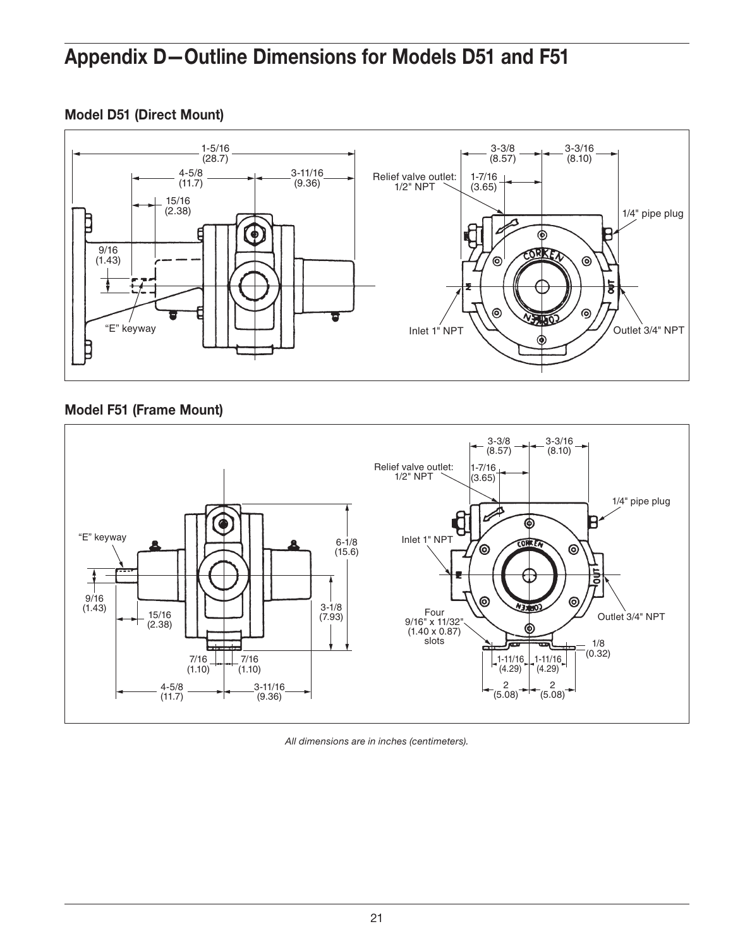## Appendix D—Outline Dimensions for Models D51 and F51

## Model D51 (Direct Mount)



## Model F51 (Frame Mount)



*All dimensions are in inches (centimeters).*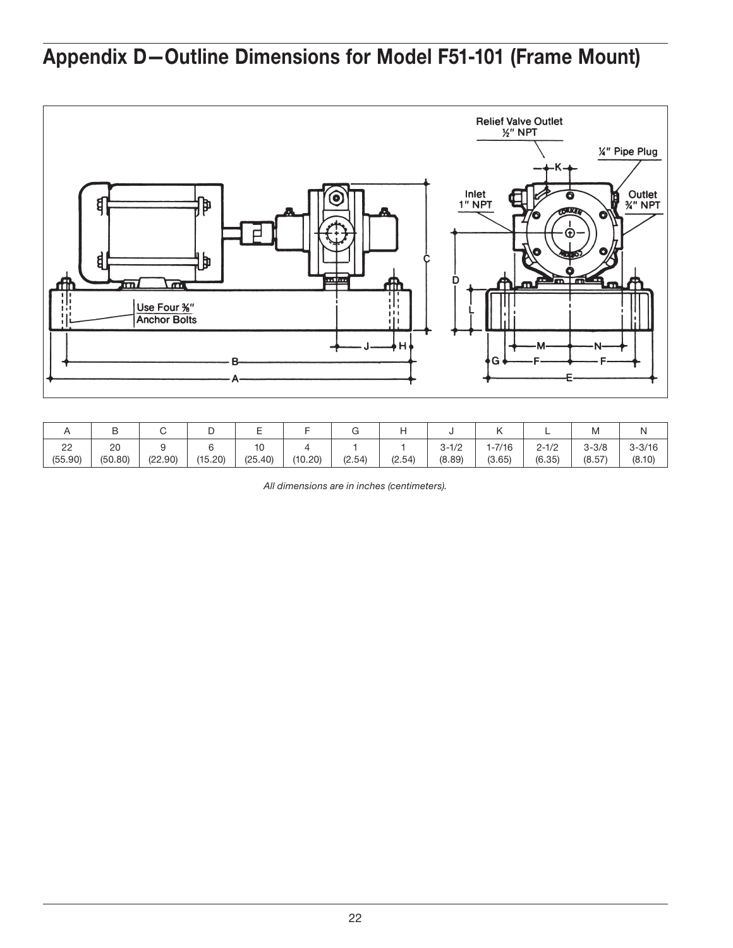# Appendix D—Outline Dimensions for Model F51-101 (Frame Mount)



|                        |               |         |         |               |         |        |        |                     |                   |                     | ιvι                 |                      |
|------------------------|---------------|---------|---------|---------------|---------|--------|--------|---------------------|-------------------|---------------------|---------------------|----------------------|
| $\sim$<br>ے<br>(55.90) | 20<br>(50.80) | (22.90) | (15.20) | 10<br>(25.40) | (10.20) | (2.54) | (2.54) | $3 - 1/2$<br>(8.89) | $-7/16$<br>(3.65) | $2 - 1/2$<br>(6.35) | $3 - 3/8$<br>(8.57) | $3 - 3/16$<br>(8.10) |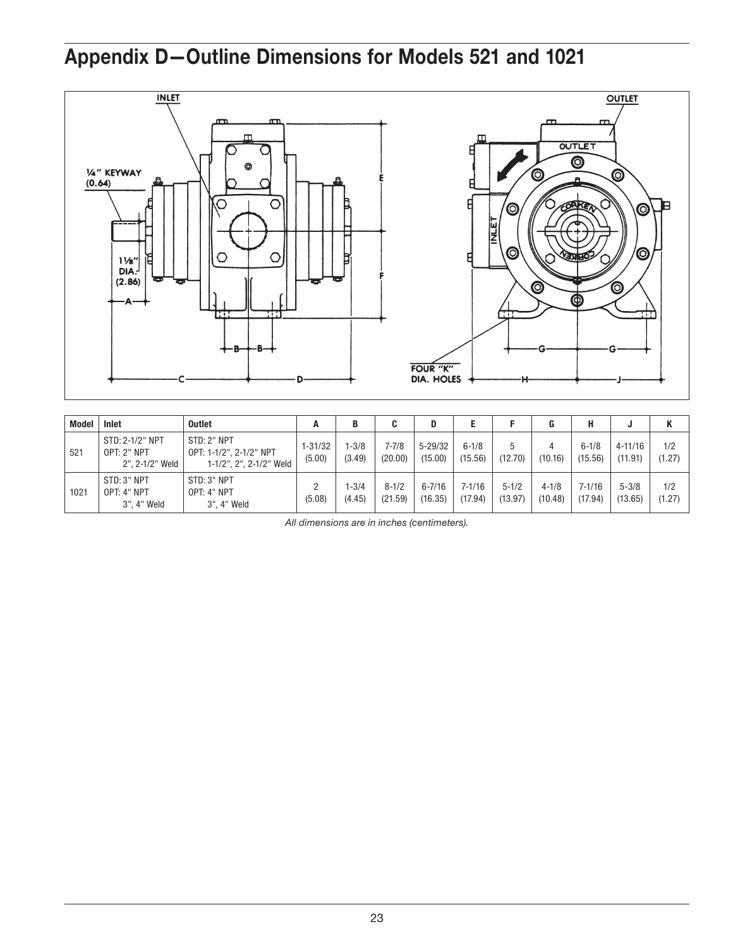# Appendix D—Outline Dimensions for Models 521 and 1021



| Model | Inlet                                                    | Outlet                                                            | А                 |                     |                      | D                      |                       |                      |                      |                       |                        |               |
|-------|----------------------------------------------------------|-------------------------------------------------------------------|-------------------|---------------------|----------------------|------------------------|-----------------------|----------------------|----------------------|-----------------------|------------------------|---------------|
| 521   | STD: 2-1/2" NPT<br><b>OPT: 2" NPT</b><br>2", 2-1/2" Weld | STD: 2" NPT<br>OPT: 1-1/2", 2-1/2" NPT<br>1-1/2", 2", 2-1/2" Weld | 1-31/32<br>(5.00) | $1 - 3/8$<br>(3.49) | $7 - 7/8$<br>(20.00) | $5 - 29/32$<br>(15.00) | $6 - 1/8$<br>(15.56)  | 5<br>(12.70)         | (10.16)              | $6 - 1/8$<br>(15.56)  | $4 - 11/16$<br>(11.91) | 1/2<br>(1.27) |
| 1021  | STD: 3" NPT<br>OPT: 4" NPT<br>3", 4" Weld                | STD: 3" NPT<br>OPT: 4" NPT<br>3", 4" Weld                         | റ<br>(5.08)       | $1 - 3/4$<br>(4.45) | $8 - 1/2$<br>(21.59) | $6 - 7/16$<br>(16.35)  | $7 - 1/16$<br>(17.94) | $5 - 1/2$<br>(13.97) | $4 - 1/8$<br>(10.48) | $7 - 1/16$<br>(17.94) | $5 - 3/8$<br>(13.65)   | 1/2<br>(1.27) |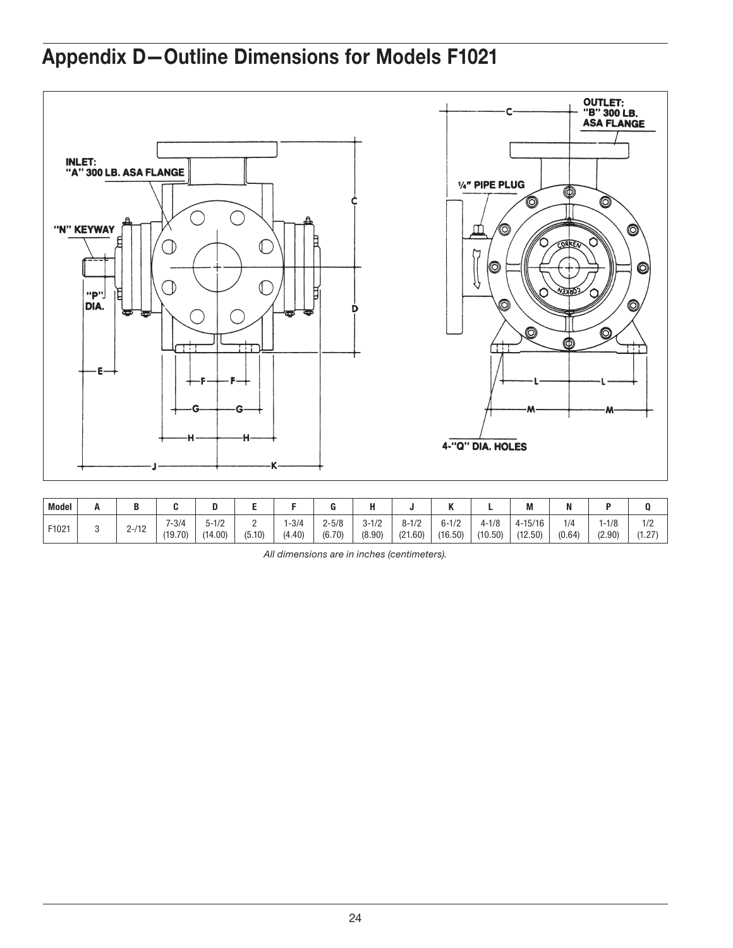# Appendix D—Outline Dimensions for Models F1021



| <b>Model</b> | л |                        |                      | м                   |                    |                 |                     |                     |                      |                      |                      | M                      |               |                     |               |
|--------------|---|------------------------|----------------------|---------------------|--------------------|-----------------|---------------------|---------------------|----------------------|----------------------|----------------------|------------------------|---------------|---------------------|---------------|
| F1021        |   | 140<br>-14<br><u>.</u> | $7 - 3/4$<br>(19.70) | $5 - 1/2$<br>14.00) | <u>.</u><br>(5.10) | 1-3/4<br>(4.40) | $2 - 5/8$<br>(6.70) | $3 - 1/2$<br>(8.90) | $8 - 1/2$<br>(21.60) | $6 - 1/2$<br>(16.50) | $4 - 1/8$<br>(10.50) | $4 - 15/16$<br>(12.50) | 1/4<br>(0.64) | $1 - 1/8$<br>(2.90) | 1/2<br>(1.27) |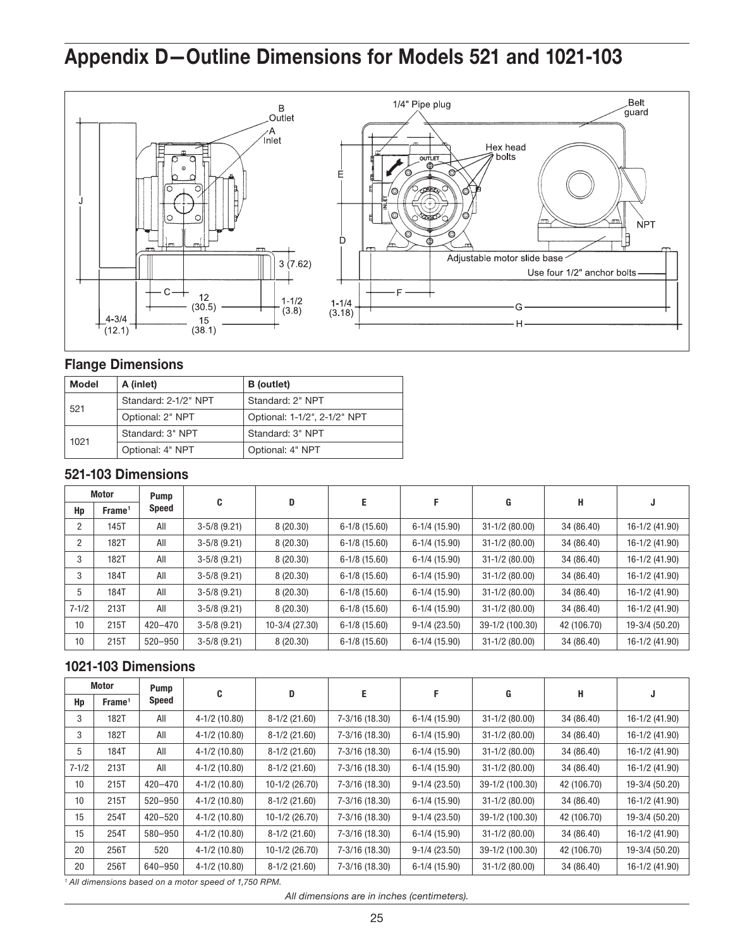# Appendix D—Outline Dimensions for Models 521 and 1021-103



#### Flange Dimensions

| <b>Model</b> | A (inlet)            | B (outlet)                   |
|--------------|----------------------|------------------------------|
| 521          | Standard: 2-1/2" NPT | Standard: 2" NPT             |
|              | Optional: 2" NPT     | Optional: 1-1/2", 2-1/2" NPT |
| 1021         | Standard: 3" NPT     | Standard: 3" NPT             |
|              | Optional: 4" NPT     | Optional: 4" NPT             |

## 521-103 Dimensions

|           | <b>Motor</b>       | Pump        |                | D                | Е               | F               | G                | н           |                |
|-----------|--------------------|-------------|----------------|------------------|-----------------|-----------------|------------------|-------------|----------------|
| Hp        | Frame <sup>1</sup> | Speed       | C              |                  |                 |                 |                  |             | J              |
|           | 145T               | All         | $3-5/8$ (9.21) | 8(20.30)         | $6-1/8$ (15.60) | $6-1/4$ (15.90) | $31-1/2$ (80.00) | 34 (86.40)  | 16-1/2 (41.90) |
| 2         | 182T               | All         | $3-5/8$ (9.21) | 8(20.30)         | $6-1/8$ (15.60) | $6-1/4$ (15.90) | $31-1/2(80.00)$  | 34 (86.40)  | 16-1/2 (41.90) |
| 3         | 182T               | All         | $3-5/8$ (9.21) | 8(20.30)         | $6-1/8$ (15.60) | $6-1/4$ (15.90) | $31-1/2$ (80.00) | 34 (86.40)  | 16-1/2 (41.90) |
| 3         | 184T               | All         | $3-5/8$ (9.21) | 8(20.30)         | $6-1/8$ (15.60) | $6-1/4$ (15.90) | $31-1/2$ (80.00) | 34 (86.40)  | 16-1/2 (41.90) |
| 5         | 184T               | All         | $3-5/8$ (9.21) | 8(20.30)         | $6-1/8$ (15.60) | $6-1/4$ (15.90) | $31-1/2$ (80.00) | 34 (86.40)  | 16-1/2 (41.90) |
| $7 - 1/2$ | 213T               | All         | $3-5/8$ (9.21) | 8(20.30)         | $6-1/8$ (15.60) | $6-1/4$ (15.90) | $31-1/2$ (80.00) | 34 (86.40)  | 16-1/2 (41.90) |
| 10        | 215T               | $420 - 470$ | $3-5/8$ (9.21) | $10-3/4$ (27.30) | $6-1/8$ (15.60) | $9-1/4(23.50)$  | 39-1/2 (100.30)  | 42 (106.70) | 19-3/4 (50.20) |
| 10        | 215T               | $520 - 950$ | $3-5/8$ (9.21) | 8(20.30)         | $6-1/8$ (15.60) | $6-1/4$ (15.90) | $31-1/2$ (80.00) | 34 (86.40)  | 16-1/2 (41.90) |

## 1021-103 Dimensions

|           | Motor              | Pump        | C               | D                | E.             | F               | G                | н           | J              |  |
|-----------|--------------------|-------------|-----------------|------------------|----------------|-----------------|------------------|-------------|----------------|--|
| Hp        | Frame <sup>1</sup> | Speed       |                 |                  |                |                 |                  |             |                |  |
| 3         | 182T               | All         | $4-1/2$ (10.80) | $8-1/2$ (21.60)  | 7-3/16 (18.30) | $6-1/4$ (15.90) | $31-1/2$ (80.00) | 34 (86.40)  | 16-1/2 (41.90) |  |
| 3         | 182T               | All         | $4-1/2$ (10.80) | $8-1/2$ (21.60)  | 7-3/16 (18.30) | $6-1/4$ (15.90) | $31-1/2$ (80.00) | 34 (86.40)  | 16-1/2 (41.90) |  |
| 5         | 184T               | All         | $4-1/2$ (10.80) | $8-1/2$ (21.60)  | 7-3/16 (18.30) | $6-1/4$ (15.90) | $31-1/2$ (80.00) | 34 (86.40)  | 16-1/2 (41.90) |  |
| $7 - 1/2$ | 213T               | All         | $4-1/2$ (10.80) | $8-1/2$ (21.60)  | 7-3/16 (18.30) | $6-1/4(15.90)$  | $31-1/2$ (80.00) | 34 (86.40)  | 16-1/2 (41.90) |  |
| 10        | 215T               | $420 - 470$ | $4-1/2$ (10.80) | $10-1/2$ (26.70) | 7-3/16 (18.30) | $9-1/4(23.50)$  | 39-1/2 (100.30)  | 42 (106.70) | 19-3/4 (50.20) |  |
| 10        | 215T               | $520 - 950$ | $4-1/2$ (10.80) | $8-1/2$ (21.60)  | 7-3/16 (18.30) | $6-1/4$ (15.90) | $31-1/2$ (80.00) | 34 (86.40)  | 16-1/2 (41.90) |  |
| 15        | 254T               | $420 - 520$ | $4-1/2$ (10.80) | $10-1/2$ (26.70) | 7-3/16 (18.30) | $9-1/4(23.50)$  | 39-1/2 (100.30)  | 42 (106.70) | 19-3/4 (50.20) |  |
| 15        | 254T               | 580-950     | $4-1/2$ (10.80) | $8-1/2$ (21.60)  | 7-3/16 (18.30) | $6-1/4(15.90)$  | $31-1/2$ (80.00) | 34 (86.40)  | 16-1/2 (41.90) |  |
| 20        | 256T               | 520         | $4-1/2$ (10.80) | $10-1/2$ (26.70) | 7-3/16 (18.30) | $9-1/4(23.50)$  | 39-1/2 (100.30)  | 42 (106.70) | 19-3/4 (50.20) |  |
| 20        | 256T               | 640-950     | $4-1/2$ (10.80) | $8-1/2$ (21.60)  | 7-3/16 (18.30) | $6-1/4(15.90)$  | $31-1/2$ (80.00) | 34 (86.40)  | 16-1/2 (41.90) |  |

*<sup>1</sup> All dimensions based on a motor speed of 1,750 RPM.*